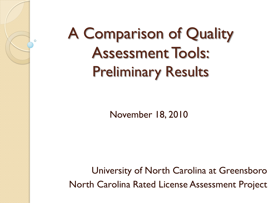# A Comparison of Quality Assessment Tools: Preliminary Results

November 18, 2010

University of North Carolina at Greensboro North Carolina Rated License Assessment Project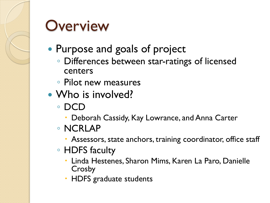

#### **Overview**

- Purpose and goals of project
	- Differences between star-ratings of licensed centers
	- Pilot new measures
- Who is involved?
	- DCD
		- Deborah Cassidy, Kay Lowrance, and Anna Carter
	- NCRLAP
		- Assessors, state anchors, training coordinator, office staff
	- HDFS faculty
		- Linda Hestenes, Sharon Mims, Karen La Paro, Danielle Crosby
		- HDFS graduate students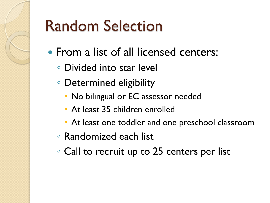# Random Selection

- From a list of all licensed centers:
	- Divided into star level
	- Determined eligibility
		- No bilingual or EC assessor needed
		- At least 35 children enrolled
		- At least one toddler and one preschool classroom
	- Randomized each list
	- Call to recruit up to 25 centers per list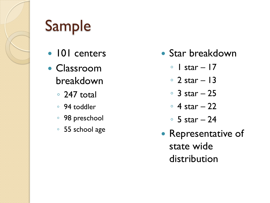

# Sample

- 101 centers
- Classroom breakdown
	- 247 total
	- 94 toddler
	- 98 preschool
	- 55 school age
- Star breakdown
	- $\circ$  | star 17
	- 2 star 13
	- 3 star 25
	- 4 star 22
	- 5 star 24
- Representative of state wide distribution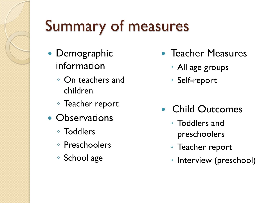# Summary of measures

- Demographic information
	- On teachers and children
	- Teacher report
- Observations
	- Toddlers
	- Preschoolers
	- School age
- Teacher Measures
	- All age groups
	- Self-report
- Child Outcomes
	- Toddlers and preschoolers
	- Teacher report
	- Interview (preschool)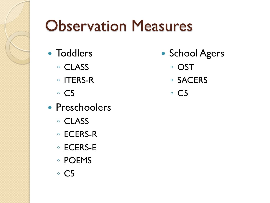# Observation Measures

- Toddlers
	- CLASS
	- ITERS-R
	- C5
- Preschoolers
	- CLASS
	- ECERS-R
	- ECERS-E
	- POEMS
	- C5
- School Agers
	- OST
	- SACERS
	- C5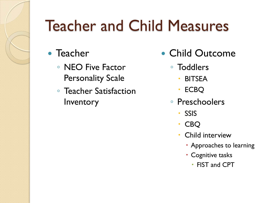# Teacher and Child Measures

- Teacher
	- NEO Five Factor Personality Scale
	- Teacher Satisfaction **Inventory**
- Child Outcome
	- Toddlers
		- BITSEA
		- ECBQ
	- Preschoolers
		- SSIS
		- CBQ
		- Child interview
			- Approaches to learning
			- Cognitive tasks
				- FIST and CPT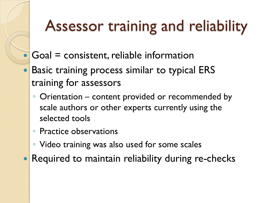## Assessor training and reliability

- Goal = consistent, reliable information
- Basic training process similar to typical ERS training for assessors
	- Orientation content provided or recommended by scale authors or other experts currently using the selected tools
	- Practice observations
	- Video training was also used for some scales
- Required to maintain reliability during re-checks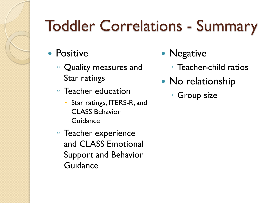# Toddler Correlations - Summary

- Positive
	- Quality measures and Star ratings
	- Teacher education
		- Star ratings, ITERS-R, and CLASS Behavior Guidance
	- Teacher experience and CLASS Emotional Support and Behavior Guidance
- Negative
	- Teacher-child ratios
- No relationship
	- Group size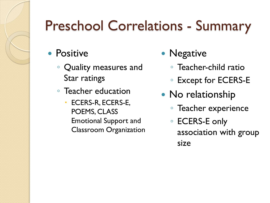## Preschool Correlations - Summary

- Positive
	- Quality measures and Star ratings
	- Teacher education
		- ECERS-R, ECERS-E, POEMS, CLASS Emotional Support and Classroom Organization
- Negative
	- Teacher-child ratio
	- Except for ECERS-E
- No relationship
	- Teacher experience
	- ECERS-E only association with group size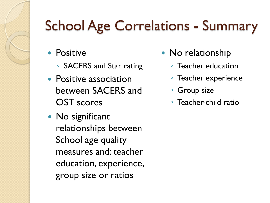### School Age Correlations - Summary

- Positive
	- SACERS and Star rating
- Positive association between SACERS and OST scores
- No significant relationships between School age quality measures and: teacher education, experience, group size or ratios
- No relationship
	- Teacher education
	- Teacher experience
	- Group size
	- Teacher-child ratio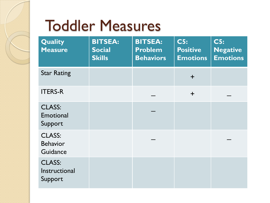## Toddler Measures

| Quality<br><b>Measure</b>                    | <b>BITSEA:</b><br><b>Social</b><br><b>Skills</b> | <b>BITSEA:</b><br><b>Problem</b><br><b>Behaviors</b> | <b>C5:</b><br><b>Positive</b><br><b>Emotions</b> | <b>C5:</b><br><b>Negative</b><br><b>Emotions</b> |
|----------------------------------------------|--------------------------------------------------|------------------------------------------------------|--------------------------------------------------|--------------------------------------------------|
| <b>Star Rating</b>                           |                                                  |                                                      | $+$                                              |                                                  |
| <b>ITERS-R</b>                               |                                                  |                                                      | $+$                                              |                                                  |
| <b>CLASS:</b><br>Emotional<br>Support        |                                                  |                                                      |                                                  |                                                  |
| <b>CLASS:</b><br><b>Behavior</b><br>Guidance |                                                  |                                                      |                                                  |                                                  |
| <b>CLASS:</b><br>Instructional<br>Support    |                                                  |                                                      |                                                  |                                                  |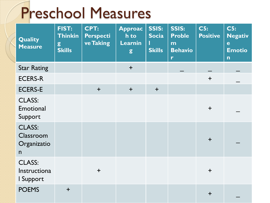# Preschool Measures

| <b>Quality</b><br><b>Measure</b>               | <b>FIST:</b><br><b>Thinkin</b><br>$\mathbf{g}$<br><b>Skills</b> | <b>CPT:</b><br><b>Perspecti</b><br>ve Taking | <b>Approac</b><br>h to<br>Learnin<br>g | <b>SSIS:</b><br><b>Socia</b><br><b>Skills</b> | <b>SSIS:</b><br><b>Proble</b><br>m<br><b>Behavio</b><br>$\mathbf{r}$ | C5:<br><b>Positive</b> | C5:<br><b>Negativ</b><br>e<br><b>Emotio</b><br>$\mathsf{n}$ |
|------------------------------------------------|-----------------------------------------------------------------|----------------------------------------------|----------------------------------------|-----------------------------------------------|----------------------------------------------------------------------|------------------------|-------------------------------------------------------------|
| <b>Star Rating</b>                             |                                                                 |                                              | $+$                                    |                                               |                                                                      |                        |                                                             |
| <b>ECERS-R</b>                                 |                                                                 |                                              |                                        |                                               |                                                                      | $+$                    |                                                             |
| <b>ECERS-E</b>                                 |                                                                 | $+$                                          | $+$                                    | $+$                                           |                                                                      |                        |                                                             |
| <b>CLASS:</b><br>Emotional<br>Support          |                                                                 |                                              |                                        |                                               |                                                                      | $+$                    |                                                             |
| <b>CLASS:</b><br>Classroom<br>Organizatio<br>n |                                                                 |                                              |                                        |                                               |                                                                      | $+$                    |                                                             |
| <b>CLASS:</b><br>Instructiona<br>I Support     |                                                                 | $+$                                          |                                        |                                               |                                                                      | $+$                    |                                                             |
| <b>POEMS</b>                                   | $+$                                                             |                                              |                                        |                                               |                                                                      | $\ddagger$             |                                                             |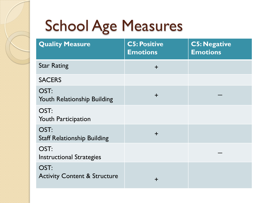# School Age Measures

| <b>Quality Measure</b>                          | <b>C5: Positive</b><br><b>Emotions</b> | <b>C5: Negative</b><br><b>Emotions</b> |
|-------------------------------------------------|----------------------------------------|----------------------------------------|
| <b>Star Rating</b>                              | $\ddagger$                             |                                        |
| <b>SACERS</b>                                   |                                        |                                        |
| OST:<br>Youth Relationship Building             | $\div$                                 |                                        |
| OST:<br><b>Youth Participation</b>              |                                        |                                        |
| OST:<br><b>Staff Relationship Building</b>      | $\ddot{}$                              |                                        |
| OST:<br><b>Instructional Strategies</b>         |                                        |                                        |
| OST:<br><b>Activity Content &amp; Structure</b> | $\pm$                                  |                                        |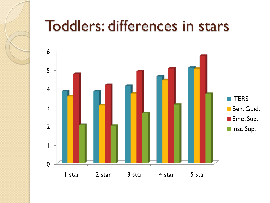

#### Toddlers: differences in stars

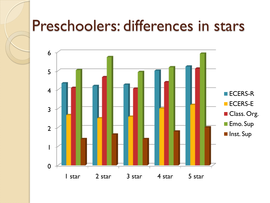#### Preschoolers: differences in stars

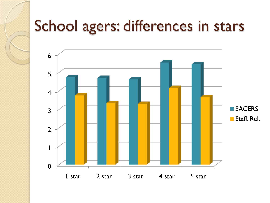### School agers: differences in stars

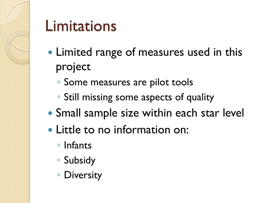

#### Limitations

- Limited range of measures used in this project
	- Some measures are pilot tools
	- Still missing some aspects of quality
- Small sample size within each star level
- Little to no information on:
	- Infants
	- Subsidy
	- Diversity